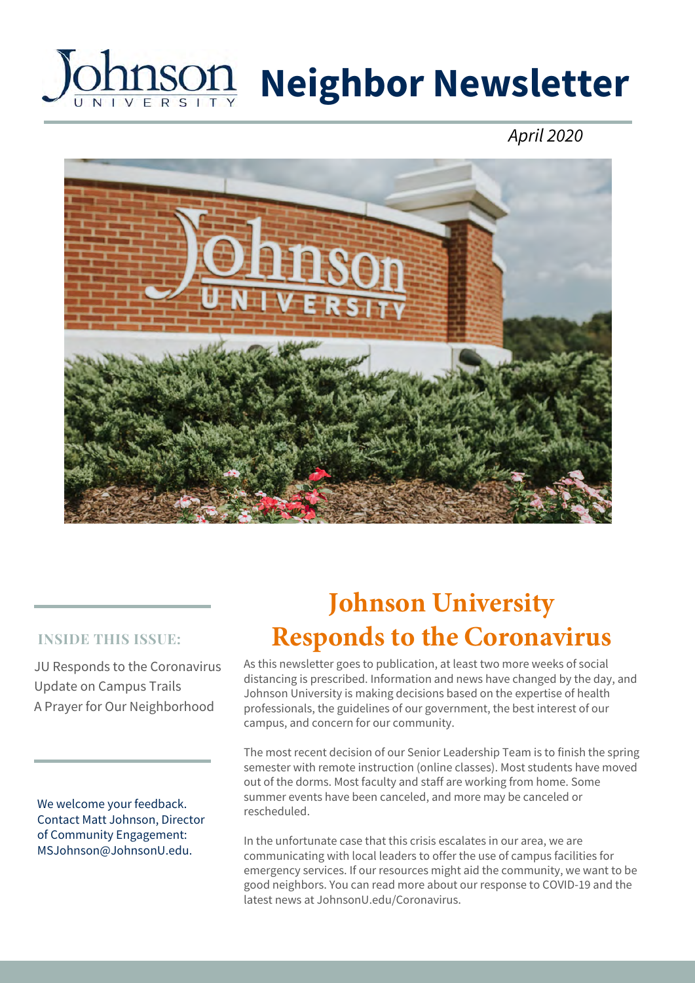# **Neighbor Newsletter**

July 2020



#### **INSIDE THIS ISSUE:**

JU Responds to the Coronavirus Update on Campus Trails A Prayer for Our Neighborhood

We welcome your feedback. Contact Matt Johnson, Director of Community Engagement: MSJohnson@JohnsonU.edu.

# **We need your input!**

As this newsletter goes to publication, at least two more weeks of social distancing is prescribed. Information and news have changed by the day, and Johnson University is making decisions based on the expertise of health professionals, the guidelines of our government, the best interest of our campus, and concern for our community.

The most recent decision of our Senior Leadership Team is to finish the spring semester with remote instruction (online classes). Most students have moved out of the dorms. Most faculty and staff are working from home. Some summer events have been canceled, and more may be canceled or rescheduled.

In the unfortunate case that this crisis escalates in our area, we are communicating with local leaders to offer the use of campus facilities for emergency services. If our resources might aid the community, we want to be good neighbors. You can read more about our response to COVID-19 and the latest news at JohnsonU.edu/Coronavirus.